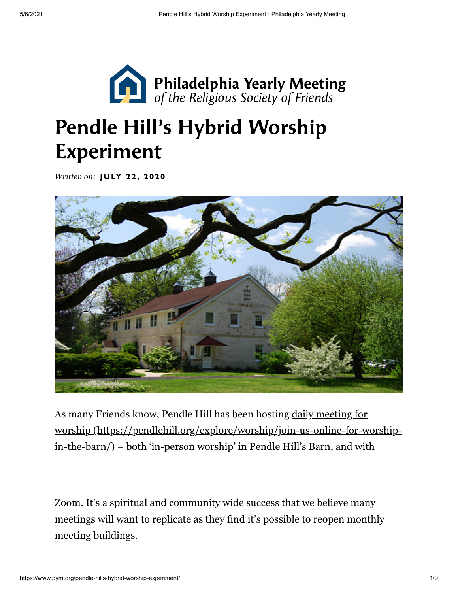

# Pendle Hill's Hybrid Worship Experiment

*Written on:* **JULY 22, 2020** 



As many Friends know, Pendle Hill has been hosting daily meeting for [worship \(https://pendlehill.org/explore/worship/join-us-online-for-worship](https://pendlehill.org/explore/worship/join-us-online-for-worship-in-the-barn/)in-the-barn/) – both 'in-person worship' in Pendle Hill's Barn, and with

Zoom. It's a spiritual and community wide success that we believe many meetings will want to replicate as they find it's possible to reopen monthly meeting buildings.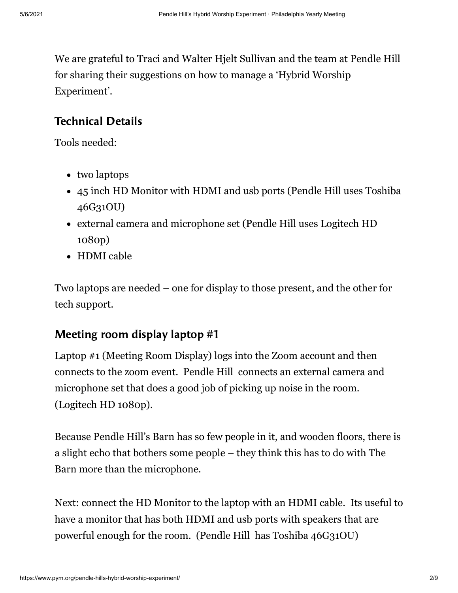We are grateful to Traci and Walter Hjelt Sullivan and the team at Pendle Hill for sharing their suggestions on how to manage a 'Hybrid Worship Experiment'.

### Technical Details

Tools needed:

- two laptops
- 45 inch HD Monitor with HDMI and usb ports (Pendle Hill uses Toshiba 46G31OU)
- external camera and microphone set (Pendle Hill uses Logitech HD 1080p)
- HDMI cable

Two laptops are needed – one for display to those present, and the other for tech support.

### Meeting room display laptop #1

Laptop #1 (Meeting Room Display) logs into the Zoom account and then connects to the zoom event. Pendle Hill connects an external camera and microphone set that does a good job of picking up noise in the room. (Logitech HD 1080p).

Because Pendle Hill's Barn has so few people in it, and wooden floors, there is a slight echo that bothers some people – they think this has to do with The Barn more than the microphone.

Next: connect the HD Monitor to the laptop with an HDMI cable. Its useful to have a monitor that has both HDMI and usb ports with speakers that are powerful enough for the room. (Pendle Hill has Toshiba 46G31OU)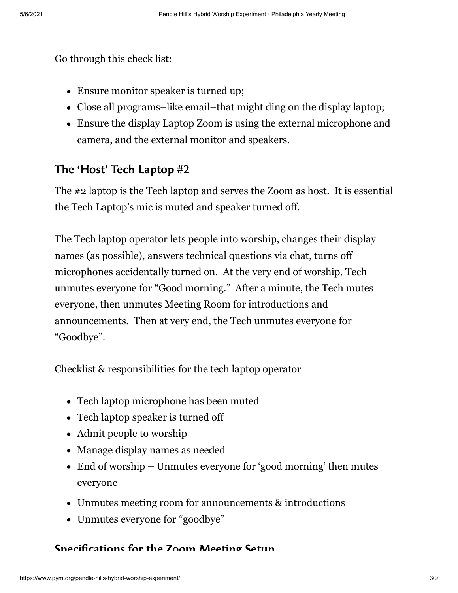Go through this check list:

- Ensure monitor speaker is turned up;
- Close all programs–like email–that might ding on the display laptop;
- Ensure the display Laptop Zoom is using the external microphone and camera, and the external monitor and speakers.

### The 'Host' Tech Laptop #2

The #2 laptop is the Tech laptop and serves the Zoom as host. It is essential the Tech Laptop's mic is muted and speaker turned off.

The Tech laptop operator lets people into worship, changes their display names (as possible), answers technical questions via chat, turns off microphones accidentally turned on. At the very end of worship, Tech unmutes everyone for "Good morning." After a minute, the Tech mutes everyone, then unmutes Meeting Room for introductions and announcements. Then at very end, the Tech unmutes everyone for "Goodbye".

Checklist & responsibilities for the tech laptop operator

- Tech laptop microphone has been muted
- Tech laptop speaker is turned off
- Admit people to worship
- Manage display names as needed
- End of worship Unmutes everyone for 'good morning' then mutes everyone
- Unmutes meeting room for announcements & introductions
- Unmutes everyone for "goodbye"

#### Specifications for the Zoom Meeting Setup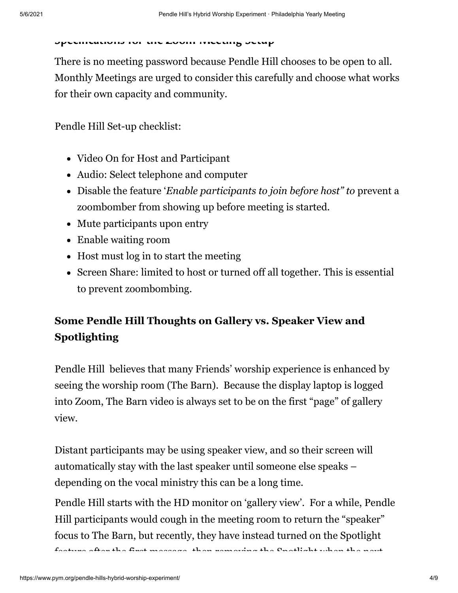#### Specimentions for the Zoom Meeting Setup

There is no meeting password because Pendle Hill chooses to be open to all. Monthly Meetings are urged to consider this carefully and choose what works for their own capacity and community.

Pendle Hill Set-up checklist:

- Video On for Host and Participant
- Audio: Select telephone and computer
- Disable the feature '*Enable participants to join before host" to* prevent a zoombomber from showing up before meeting is started.
- Mute participants upon entry
- Enable waiting room
- Host must log in to start the meeting
- Screen Share: limited to host or turned off all together. This is essential to prevent zoombombing.

## **Some Pendle Hill Thoughts on Gallery vs. Speaker View and Spotlighting**

Pendle Hill believes that many Friends' worship experience is enhanced by seeing the worship room (The Barn). Because the display laptop is logged into Zoom, The Barn video is always set to be on the first "page" of gallery view.

Distant participants may be using speaker view, and so their screen will automatically stay with the last speaker until someone else speaks – depending on the vocal ministry this can be a long time.

Pendle Hill starts with the HD monitor on 'gallery view'. For a while, Pendle Hill participants would cough in the meeting room to return the "speaker" focus to The Barn, but recently, they have instead turned on the Spotlight feature after the first message then removing the Spotlight when the next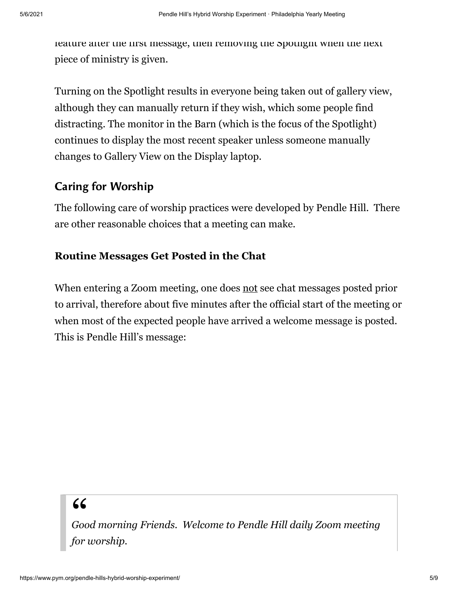feature after the first message, then removing the Spotlight when the next piece of ministry is given.

Turning on the Spotlight results in everyone being taken out of gallery view, although they can manually return if they wish, which some people find distracting. The monitor in the Barn (which is the focus of the Spotlight) continues to display the most recent speaker unless someone manually changes to Gallery View on the Display laptop.

#### Caring for Worship

The following care of worship practices were developed by Pendle Hill. There are other reasonable choices that a meeting can make.

#### **Routine Messages Get Posted in the Chat**

When entering a Zoom meeting, one does not see chat messages posted prior to arrival, therefore about five minutes after the official start of the meeting or when most of the expected people have arrived a welcome message is posted. This is Pendle Hill's message:

" *Good morning Friends. Welcome to Pendle Hill daily Zoom meeting for worship.*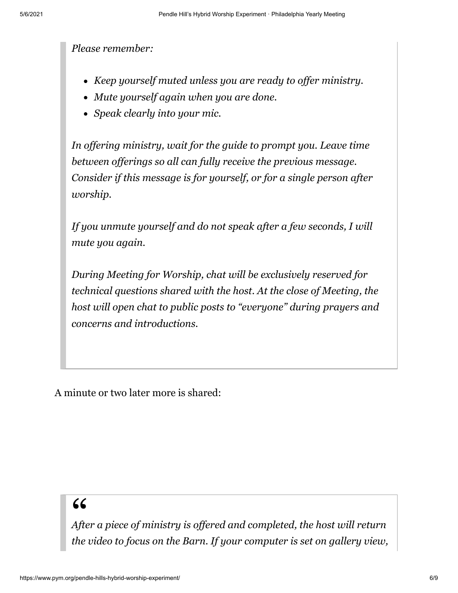*Please remember:*

- *Keep yourself muted unless you are ready to offer ministry.*
- *Mute yourself again when you are done.*
- *Speak clearly into your mic.*

*In offering ministry, wait for the guide to prompt you. Leave time between offerings so all can fully receive the previous message. Consider if this message is for yourself, or for a single person after worship.*

*If you unmute yourself and do not speak after a few seconds, I will mute you again.*

*During Meeting for Worship, chat will be exclusively reserved for technical questions shared with the host. At the close of Meeting, the host will open chat to public posts to "everyone" during prayers and concerns and introductions.*

A minute or two later more is shared:

" *After a piece of ministry is offered and completed, the host will return the video to focus on the Barn. If your computer is set on gallery view,*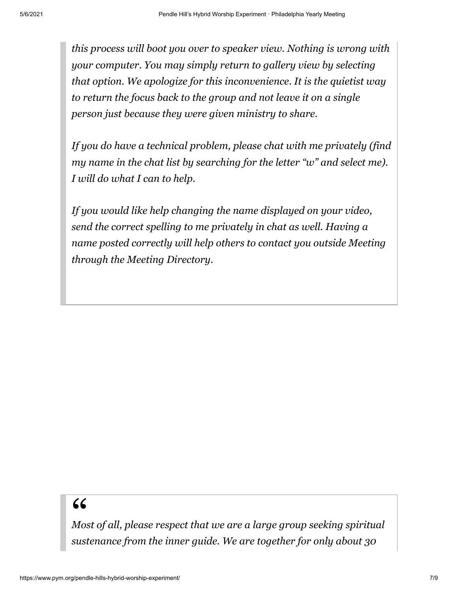*this process will boot you over to speaker view. Nothing is wrong with your computer. You may simply return to gallery view by selecting that option. We apologize for this inconvenience. It is the quietist way to return the focus back to the group and not leave it on a single person just because they were given ministry to share.*

*If you do have a technical problem, please chat with me privately (find my name in the chat list by searching for the letter "w" and select me). I will do what I can to help.*

*If you would like help changing the name displayed on your video, send the correct spelling to me privately in chat as well. Having a name posted correctly will help others to contact you outside Meeting through the Meeting Directory.*

" *Most of all, please respect that we are a large group seeking spiritual sustenance from the inner guide. We are together for only about 30*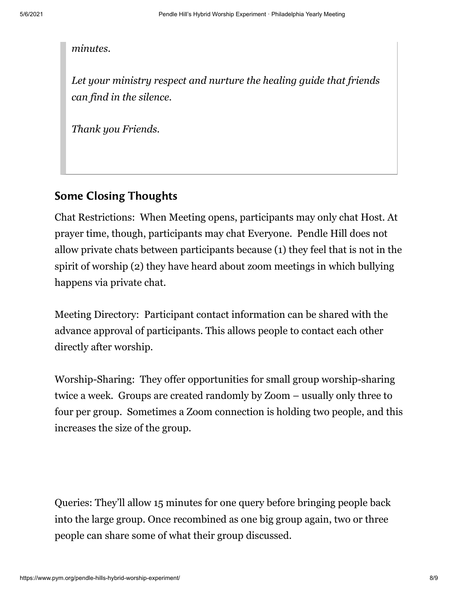*minutes.*

*Let your ministry respect and nurture the healing guide that friends can find in the silence.*

*Thank you Friends.*

#### Some Closing Thoughts

Chat Restrictions: When Meeting opens, participants may only chat Host. At prayer time, though, participants may chat Everyone. Pendle Hill does not allow private chats between participants because (1) they feel that is not in the spirit of worship (2) they have heard about zoom meetings in which bullying happens via private chat.

Meeting Directory: Participant contact information can be shared with the advance approval of participants. This allows people to contact each other directly after worship.

Worship-Sharing: They offer opportunities for small group worship-sharing twice a week. Groups are created randomly by Zoom – usually only three to four per group. Sometimes a Zoom connection is holding two people, and this increases the size of the group.

Queries: They'll allow 15 minutes for one query before bringing people back into the large group. Once recombined as one big group again, two or three people can share some of what their group discussed.